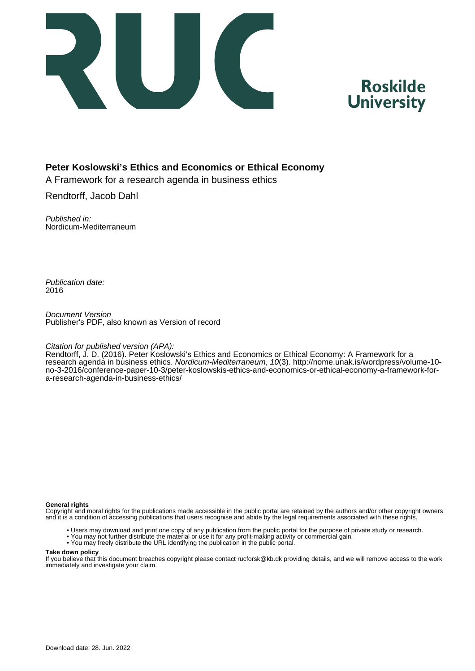



### **Peter Koslowski's Ethics and Economics or Ethical Economy**

A Framework for a research agenda in business ethics

Rendtorff, Jacob Dahl

Published in: Nordicum-Mediterraneum

Publication date: 2016

Document Version Publisher's PDF, also known as Version of record

### Citation for published version (APA):

Rendtorff, J. D. (2016). Peter Koslowski's Ethics and Economics or Ethical Economy: A Framework for a research agenda in business ethics. Nordicum-Mediterraneum, 10(3). [http://nome.unak.is/wordpress/volume-10](http://nome.unak.is/wordpress/volume-10-no-3-2016/conference-paper-10-3/peter-koslowskis-ethics-and-economics-or-ethical-economy-a-framework-for-a-research-agenda-in-business-ethics/) [no-3-2016/conference-paper-10-3/peter-koslowskis-ethics-and-economics-or-ethical-economy-a-framework-for](http://nome.unak.is/wordpress/volume-10-no-3-2016/conference-paper-10-3/peter-koslowskis-ethics-and-economics-or-ethical-economy-a-framework-for-a-research-agenda-in-business-ethics/)[a-research-agenda-in-business-ethics/](http://nome.unak.is/wordpress/volume-10-no-3-2016/conference-paper-10-3/peter-koslowskis-ethics-and-economics-or-ethical-economy-a-framework-for-a-research-agenda-in-business-ethics/)

#### **General rights**

Copyright and moral rights for the publications made accessible in the public portal are retained by the authors and/or other copyright owners and it is a condition of accessing publications that users recognise and abide by the legal requirements associated with these rights.

- Users may download and print one copy of any publication from the public portal for the purpose of private study or research.
- You may not further distribute the material or use it for any profit-making activity or commercial gain.
- You may freely distribute the URL identifying the publication in the public portal.

#### **Take down policy**

If you believe that this document breaches copyright please contact rucforsk@kb.dk providing details, and we will remove access to the work immediately and investigate your claim.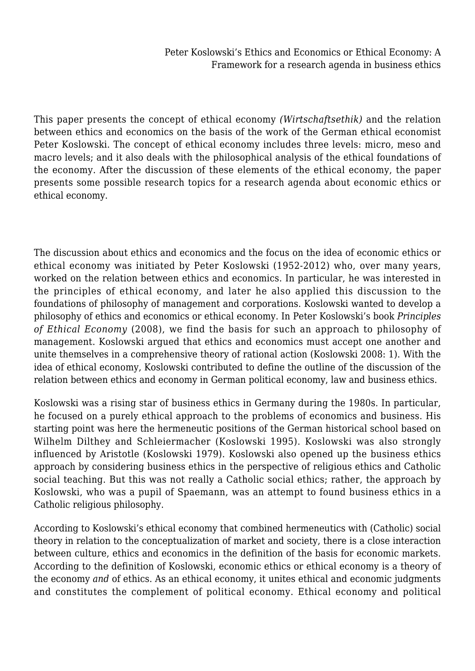This paper presents the concept of ethical economy *(Wirtschaftsethik)* and the relation between ethics and economics on the basis of the work of the German ethical economist Peter Koslowski. The concept of ethical economy includes three levels: micro, meso and macro levels; and it also deals with the philosophical analysis of the ethical foundations of the economy. After the discussion of these elements of the ethical economy, the paper presents some possible research topics for a research agenda about economic ethics or ethical economy.

The discussion about ethics and economics and the focus on the idea of economic ethics or ethical economy was initiated by Peter Koslowski (1952-2012) who, over many years, worked on the relation between ethics and economics. In particular, he was interested in the principles of ethical economy, and later he also applied this discussion to the foundations of philosophy of management and corporations. Koslowski wanted to develop a philosophy of ethics and economics or ethical economy. In Peter Koslowski's book *Principles of Ethical Economy* (2008), we find the basis for such an approach to philosophy of management. Koslowski argued that ethics and economics must accept one another and unite themselves in a comprehensive theory of rational action (Koslowski 2008: 1). With the idea of ethical economy, Koslowski contributed to define the outline of the discussion of the relation between ethics and economy in German political economy, law and business ethics.

Koslowski was a rising star of business ethics in Germany during the 1980s. In particular, he focused on a purely ethical approach to the problems of economics and business. His starting point was here the hermeneutic positions of the German historical school based on Wilhelm Dilthey and Schleiermacher (Koslowski 1995). Koslowski was also strongly influenced by Aristotle (Koslowski 1979). Koslowski also opened up the business ethics approach by considering business ethics in the perspective of religious ethics and Catholic social teaching. But this was not really a Catholic social ethics; rather, the approach by Koslowski, who was a pupil of Spaemann, was an attempt to found business ethics in a Catholic religious philosophy.

According to Koslowski's ethical economy that combined hermeneutics with (Catholic) social theory in relation to the conceptualization of market and society, there is a close interaction between culture, ethics and economics in the definition of the basis for economic markets. According to the definition of Koslowski, economic ethics or ethical economy is a theory of the economy *and* of ethics. As an ethical economy, it unites ethical and economic judgments and constitutes the complement of political economy. Ethical economy and political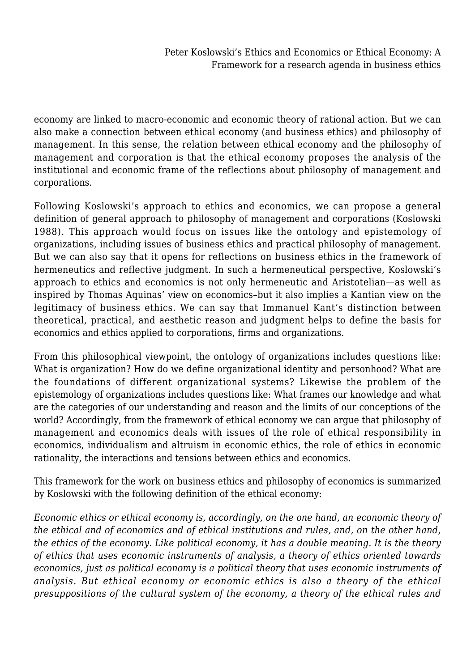economy are linked to macro-economic and economic theory of rational action. But we can also make a connection between ethical economy (and business ethics) and philosophy of management. In this sense, the relation between ethical economy and the philosophy of management and corporation is that the ethical economy proposes the analysis of the institutional and economic frame of the reflections about philosophy of management and corporations.

Following Koslowski's approach to ethics and economics, we can propose a general definition of general approach to philosophy of management and corporations (Koslowski 1988). This approach would focus on issues like the ontology and epistemology of organizations, including issues of business ethics and practical philosophy of management. But we can also say that it opens for reflections on business ethics in the framework of hermeneutics and reflective judgment. In such a hermeneutical perspective, Koslowski's approach to ethics and economics is not only hermeneutic and Aristotelian—as well as inspired by Thomas Aquinas' view on economics–but it also implies a Kantian view on the legitimacy of business ethics. We can say that Immanuel Kant's distinction between theoretical, practical, and aesthetic reason and judgment helps to define the basis for economics and ethics applied to corporations, firms and organizations.

From this philosophical viewpoint, the ontology of organizations includes questions like: What is organization? How do we define organizational identity and personhood? What are the foundations of different organizational systems? Likewise the problem of the epistemology of organizations includes questions like: What frames our knowledge and what are the categories of our understanding and reason and the limits of our conceptions of the world? Accordingly, from the framework of ethical economy we can argue that philosophy of management and economics deals with issues of the role of ethical responsibility in economics, individualism and altruism in economic ethics, the role of ethics in economic rationality, the interactions and tensions between ethics and economics.

This framework for the work on business ethics and philosophy of economics is summarized by Koslowski with the following definition of the ethical economy:

*Economic ethics or ethical economy is, accordingly, on the one hand, an economic theory of the ethical and of economics and of ethical institutions and rules, and, on the other hand, the ethics of the economy. Like political economy, it has a double meaning. It is the theory of ethics that uses economic instruments of analysis, a theory of ethics oriented towards economics, just as political economy is a political theory that uses economic instruments of analysis. But ethical economy or economic ethics is also a theory of the ethical presuppositions of the cultural system of the economy, a theory of the ethical rules and*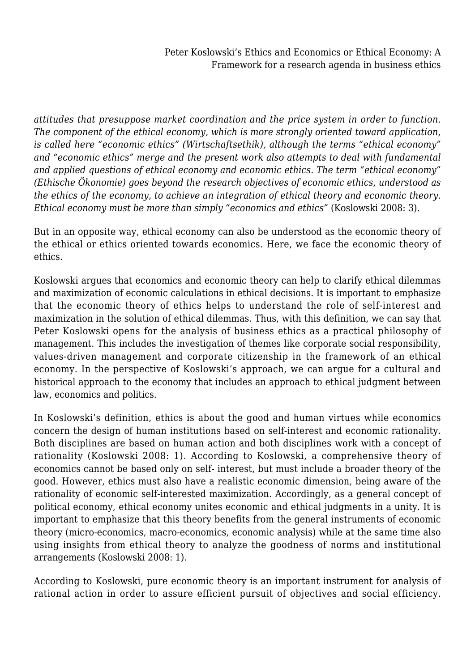*attitudes that presuppose market coordination and the price system in order to function. The component of the ethical economy, which is more strongly oriented toward application, is called here "economic ethics" (Wirtschaftsethik), although the terms "ethical economy" and "economic ethics" merge and the present work also attempts to deal with fundamental and applied questions of ethical economy and economic ethics. The term "ethical economy" (Ethische Ökonomie) goes beyond the research objectives of economic ethics, understood as the ethics of the economy, to achieve an integration of ethical theory and economic theory. Ethical economy must be more than simply "economics and ethics"* (Koslowski 2008: 3).

But in an opposite way, ethical economy can also be understood as the economic theory of the ethical or ethics oriented towards economics. Here, we face the economic theory of ethics.

Koslowski argues that economics and economic theory can help to clarify ethical dilemmas and maximization of economic calculations in ethical decisions. It is important to emphasize that the economic theory of ethics helps to understand the role of self-interest and maximization in the solution of ethical dilemmas. Thus, with this definition, we can say that Peter Koslowski opens for the analysis of business ethics as a practical philosophy of management. This includes the investigation of themes like corporate social responsibility, values-driven management and corporate citizenship in the framework of an ethical economy. In the perspective of Koslowski's approach, we can argue for a cultural and historical approach to the economy that includes an approach to ethical judgment between law, economics and politics.

In Koslowski's definition, ethics is about the good and human virtues while economics concern the design of human institutions based on self-interest and economic rationality. Both disciplines are based on human action and both disciplines work with a concept of rationality (Koslowski 2008: 1). According to Koslowski, a comprehensive theory of economics cannot be based only on self- interest, but must include a broader theory of the good. However, ethics must also have a realistic economic dimension, being aware of the rationality of economic self-interested maximization. Accordingly, as a general concept of political economy, ethical economy unites economic and ethical judgments in a unity. It is important to emphasize that this theory benefits from the general instruments of economic theory (micro-economics, macro-economics, economic analysis) while at the same time also using insights from ethical theory to analyze the goodness of norms and institutional arrangements (Koslowski 2008: 1).

According to Koslowski, pure economic theory is an important instrument for analysis of rational action in order to assure efficient pursuit of objectives and social efficiency.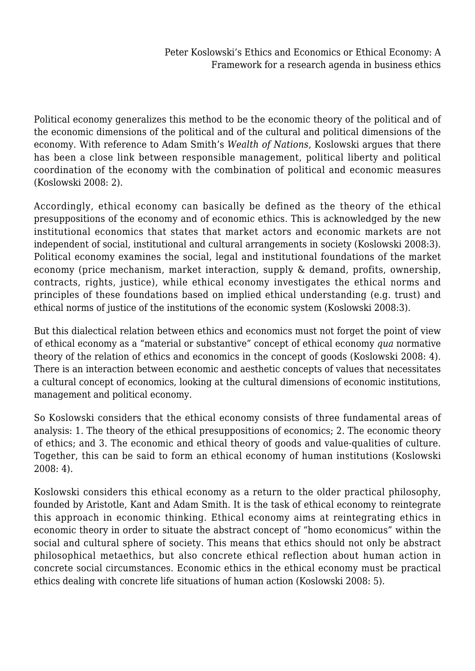Political economy generalizes this method to be the economic theory of the political and of the economic dimensions of the political and of the cultural and political dimensions of the economy. With reference to Adam Smith's *Wealth of Nations*, Koslowski argues that there has been a close link between responsible management, political liberty and political coordination of the economy with the combination of political and economic measures (Koslowski 2008: 2).

Accordingly, ethical economy can basically be defined as the theory of the ethical presuppositions of the economy and of economic ethics. This is acknowledged by the new institutional economics that states that market actors and economic markets are not independent of social, institutional and cultural arrangements in society (Koslowski 2008:3). Political economy examines the social, legal and institutional foundations of the market economy (price mechanism, market interaction, supply & demand, profits, ownership, contracts, rights, justice), while ethical economy investigates the ethical norms and principles of these foundations based on implied ethical understanding (e.g. trust) and ethical norms of justice of the institutions of the economic system (Koslowski 2008:3).

But this dialectical relation between ethics and economics must not forget the point of view of ethical economy as a "material or substantive" concept of ethical economy *qua* normative theory of the relation of ethics and economics in the concept of goods (Koslowski 2008: 4). There is an interaction between economic and aesthetic concepts of values that necessitates a cultural concept of economics, looking at the cultural dimensions of economic institutions, management and political economy.

So Koslowski considers that the ethical economy consists of three fundamental areas of analysis: 1. The theory of the ethical presuppositions of economics; 2. The economic theory of ethics; and 3. The economic and ethical theory of goods and value-qualities of culture. Together, this can be said to form an ethical economy of human institutions (Koslowski 2008: 4).

Koslowski considers this ethical economy as a return to the older practical philosophy, founded by Aristotle, Kant and Adam Smith. It is the task of ethical economy to reintegrate this approach in economic thinking. Ethical economy aims at reintegrating ethics in economic theory in order to situate the abstract concept of "homo economicus" within the social and cultural sphere of society. This means that ethics should not only be abstract philosophical metaethics, but also concrete ethical reflection about human action in concrete social circumstances. Economic ethics in the ethical economy must be practical ethics dealing with concrete life situations of human action (Koslowski 2008: 5).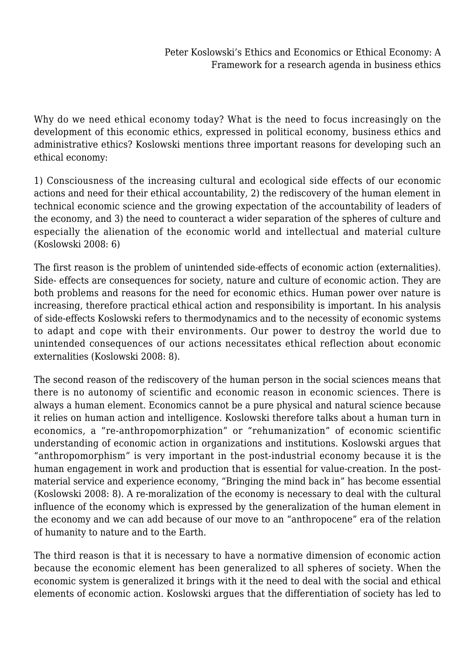Why do we need ethical economy today? What is the need to focus increasingly on the development of this economic ethics, expressed in political economy, business ethics and administrative ethics? Koslowski mentions three important reasons for developing such an ethical economy:

1) Consciousness of the increasing cultural and ecological side effects of our economic actions and need for their ethical accountability, 2) the rediscovery of the human element in technical economic science and the growing expectation of the accountability of leaders of the economy, and 3) the need to counteract a wider separation of the spheres of culture and especially the alienation of the economic world and intellectual and material culture (Koslowski 2008: 6)

The first reason is the problem of unintended side-effects of economic action (externalities). Side- effects are consequences for society, nature and culture of economic action. They are both problems and reasons for the need for economic ethics. Human power over nature is increasing, therefore practical ethical action and responsibility is important. In his analysis of side-effects Koslowski refers to thermodynamics and to the necessity of economic systems to adapt and cope with their environments. Our power to destroy the world due to unintended consequences of our actions necessitates ethical reflection about economic externalities (Koslowski 2008: 8).

The second reason of the rediscovery of the human person in the social sciences means that there is no autonomy of scientific and economic reason in economic sciences. There is always a human element. Economics cannot be a pure physical and natural science because it relies on human action and intelligence. Koslowski therefore talks about a human turn in economics, a "re-anthropomorphization" or "rehumanization" of economic scientific understanding of economic action in organizations and institutions. Koslowski argues that "anthropomorphism" is very important in the post-industrial economy because it is the human engagement in work and production that is essential for value-creation. In the postmaterial service and experience economy, "Bringing the mind back in" has become essential (Koslowski 2008: 8). A re-moralization of the economy is necessary to deal with the cultural influence of the economy which is expressed by the generalization of the human element in the economy and we can add because of our move to an "anthropocene" era of the relation of humanity to nature and to the Earth.

The third reason is that it is necessary to have a normative dimension of economic action because the economic element has been generalized to all spheres of society. When the economic system is generalized it brings with it the need to deal with the social and ethical elements of economic action. Koslowski argues that the differentiation of society has led to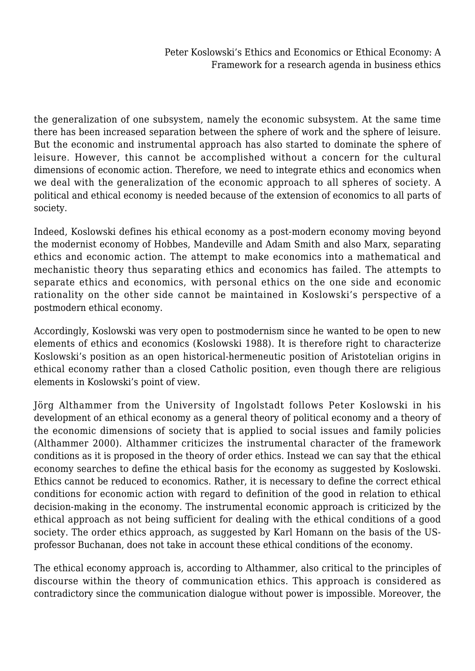the generalization of one subsystem, namely the economic subsystem. At the same time there has been increased separation between the sphere of work and the sphere of leisure. But the economic and instrumental approach has also started to dominate the sphere of leisure. However, this cannot be accomplished without a concern for the cultural dimensions of economic action. Therefore, we need to integrate ethics and economics when we deal with the generalization of the economic approach to all spheres of society. A political and ethical economy is needed because of the extension of economics to all parts of society.

Indeed, Koslowski defines his ethical economy as a post-modern economy moving beyond the modernist economy of Hobbes, Mandeville and Adam Smith and also Marx, separating ethics and economic action. The attempt to make economics into a mathematical and mechanistic theory thus separating ethics and economics has failed. The attempts to separate ethics and economics, with personal ethics on the one side and economic rationality on the other side cannot be maintained in Koslowski's perspective of a postmodern ethical economy.

Accordingly, Koslowski was very open to postmodernism since he wanted to be open to new elements of ethics and economics (Koslowski 1988). It is therefore right to characterize Koslowski's position as an open historical-hermeneutic position of Aristotelian origins in ethical economy rather than a closed Catholic position, even though there are religious elements in Koslowski's point of view.

Jörg Althammer from the University of Ingolstadt follows Peter Koslowski in his development of an ethical economy as a general theory of political economy and a theory of the economic dimensions of society that is applied to social issues and family policies (Althammer 2000). Althammer criticizes the instrumental character of the framework conditions as it is proposed in the theory of order ethics. Instead we can say that the ethical economy searches to define the ethical basis for the economy as suggested by Koslowski. Ethics cannot be reduced to economics. Rather, it is necessary to define the correct ethical conditions for economic action with regard to definition of the good in relation to ethical decision-making in the economy. The instrumental economic approach is criticized by the ethical approach as not being sufficient for dealing with the ethical conditions of a good society. The order ethics approach, as suggested by Karl Homann on the basis of the USprofessor Buchanan, does not take in account these ethical conditions of the economy.

The ethical economy approach is, according to Althammer, also critical to the principles of discourse within the theory of communication ethics. This approach is considered as contradictory since the communication dialogue without power is impossible. Moreover, the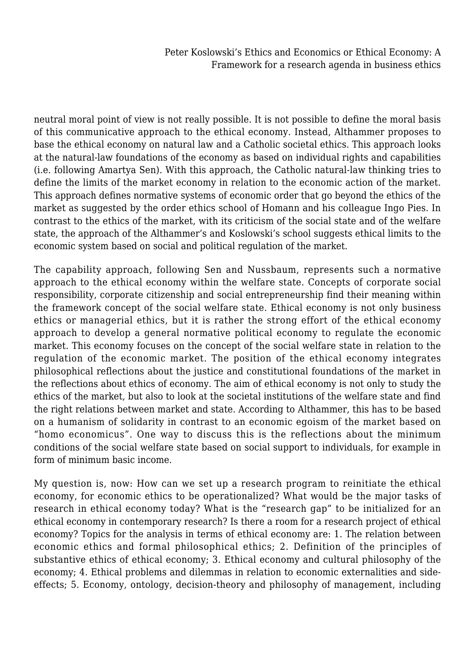Peter Koslowski's Ethics and Economics or Ethical Economy: A Framework for a research agenda in business ethics

neutral moral point of view is not really possible. It is not possible to define the moral basis of this communicative approach to the ethical economy. Instead, Althammer proposes to base the ethical economy on natural law and a Catholic societal ethics. This approach looks at the natural-law foundations of the economy as based on individual rights and capabilities (i.e. following Amartya Sen). With this approach, the Catholic natural-law thinking tries to define the limits of the market economy in relation to the economic action of the market. This approach defines normative systems of economic order that go beyond the ethics of the market as suggested by the order ethics school of Homann and his colleague Ingo Pies. In contrast to the ethics of the market, with its criticism of the social state and of the welfare state, the approach of the Althammer's and Koslowski's school suggests ethical limits to the economic system based on social and political regulation of the market.

The capability approach, following Sen and Nussbaum, represents such a normative approach to the ethical economy within the welfare state. Concepts of corporate social responsibility, corporate citizenship and social entrepreneurship find their meaning within the framework concept of the social welfare state. Ethical economy is not only business ethics or managerial ethics, but it is rather the strong effort of the ethical economy approach to develop a general normative political economy to regulate the economic market. This economy focuses on the concept of the social welfare state in relation to the regulation of the economic market. The position of the ethical economy integrates philosophical reflections about the justice and constitutional foundations of the market in the reflections about ethics of economy. The aim of ethical economy is not only to study the ethics of the market, but also to look at the societal institutions of the welfare state and find the right relations between market and state. According to Althammer, this has to be based on a humanism of solidarity in contrast to an economic egoism of the market based on "homo economicus". One way to discuss this is the reflections about the minimum conditions of the social welfare state based on social support to individuals, for example in form of minimum basic income.

My question is, now: How can we set up a research program to reinitiate the ethical economy, for economic ethics to be operationalized? What would be the major tasks of research in ethical economy today? What is the "research gap" to be initialized for an ethical economy in contemporary research? Is there a room for a research project of ethical economy? Topics for the analysis in terms of ethical economy are: 1. The relation between economic ethics and formal philosophical ethics; 2. Definition of the principles of substantive ethics of ethical economy; 3. Ethical economy and cultural philosophy of the economy; 4. Ethical problems and dilemmas in relation to economic externalities and sideeffects; 5. Economy, ontology, decision-theory and philosophy of management, including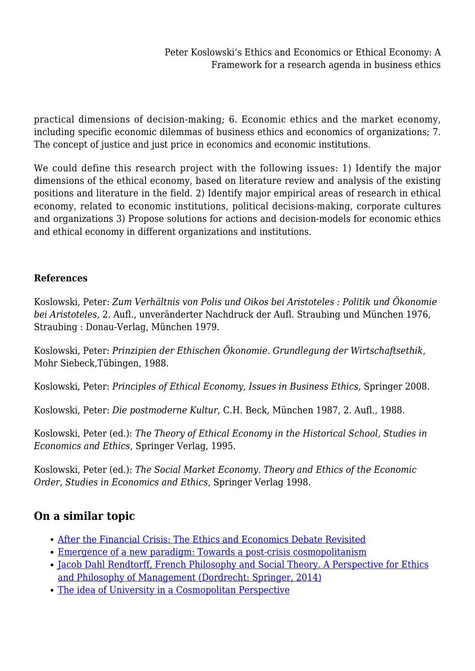practical dimensions of decision-making; 6. Economic ethics and the market economy, including specific economic dilemmas of business ethics and economics of organizations; 7. The concept of justice and just price in economics and economic institutions.

We could define this research project with the following issues: 1) Identify the major dimensions of the ethical economy, based on literature review and analysis of the existing positions and literature in the field. 2) Identify major empirical areas of research in ethical economy, related to economic institutions, political decisions-making, corporate cultures and organizations 3) Propose solutions for actions and decision-models for economic ethics and ethical economy in different organizations and institutions.

## **References**

Koslowski, Peter: *Zum Verhältnis von Polis und Oikos bei Aristoteles : Politik und Ökonomie bei Aristoteles*, 2. Aufl., unveränderter Nachdruck der Aufl. Straubing und München 1976, Straubing : Donau-Verlag, München 1979.

Koslowski, Peter: *Prinzipien der Ethischen Ökonomie. Grundlegung der Wirtschaftsethik*, Mohr Siebeck,Tübingen, 1988.

Koslowski, Peter: *Principles of Ethical Economy, Issues in Business Ethics*, Springer 2008.

Koslowski, Peter: *Die postmoderne Kultur*, C.H. Beck, München 1987, 2. Aufl., 1988.

Koslowski, Peter (ed.): *The Theory of Ethical Economy in the Historical School, Studies in Economics and Ethics*, Springer Verlag, 1995.

Koslowski, Peter (ed.): *The Social Market Economy. Theory and Ethics of the Economic Order, Studies in Economics and Ethics*, Springer Verlag 1998.

# **On a similar topic**

- [After the Financial Crisis: The Ethics and Economics Debate Revisited](http://nome.unak.is/wordpress/05-1/reflection-on-the-economic-crisis/after-the-financial-crisis-the-ethics-and-economic-debate-revisited/)
- [Emergence of a new paradigm: Towards a post-crisis cosmopolitanism](http://nome.unak.is/wordpress/06-1/conference-paper/emergence-of-a-new-paradigm-towards-a-post-crisis-cosmopolitanism/)
- [Jacob Dahl Rendtorff, French Philosophy and Social Theory. A Perspective for Ethics](http://nome.unak.is/wordpress/volume-11-no-1-2016/02_book-review/jacob-dahl-rendtorff-french-philosophy-social-theory-perspective-ethics-philosophy-management-dordrecht-springer-2014/) [and Philosophy of Management \(Dordrecht: Springer, 2014\)](http://nome.unak.is/wordpress/volume-11-no-1-2016/02_book-review/jacob-dahl-rendtorff-french-philosophy-social-theory-perspective-ethics-philosophy-management-dordrecht-springer-2014/)
- [The idea of University in a Cosmopolitan Perspective](http://nome.unak.is/wordpress/07-1/conference-keynote-speech/the-idea-of-university-in-a-cosmopolitan-perspective/)